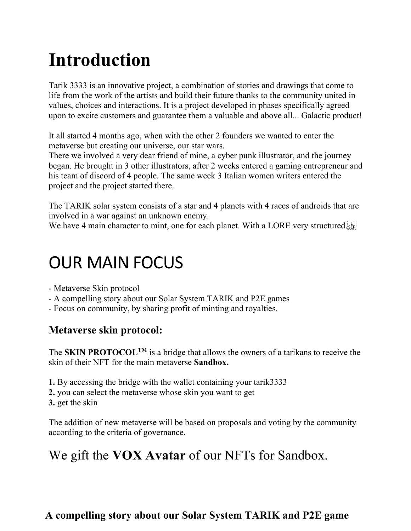# **Introduction**

Tarik 3333 is an innovative project, a combination of stories and drawings that come to life from the work of the artists and build their future thanks to the community united in values, choices and interactions. It is a project developed in phases specifically agreed upon to excite customers and guarantee them a valuable and above all... Galactic product!

It all started 4 months ago, when with the other 2 founders we wanted to enter the metaverse but creating our universe, our star wars.

There we involved a very dear friend of mine, a cyber punk illustrator, and the journey began. He brought in 3 other illustrators, after 2 weeks entered a gaming entrepreneur and his team of discord of 4 people. The same week 3 Italian women writers entered the project and the project started there.

The TARIK solar system consists of a star and 4 planets with 4 races of androids that are involved in a war against an unknown enemy.

We have 4 main character to mint, one for each planet. With a LORE very structured.

## OUR MAIN FOCUS

- Metaverse Skin protocol
- A compelling story about our Solar System TARIK and P2E games
- Focus on community, by sharing profit of minting and royalties.

### **Metaverse skin protocol:**

The **SKIN PROTOCOL**<sup>TM</sup> is a bridge that allows the owners of a tarikans to receive the skin of their NFT for the main metaverse **Sandbox.**

- **1.** By accessing the bridge with the wallet containing your tarik3333
- **2.** you can select the metaverse whose skin you want to get
- **3.** get the skin

The addition of new metaverse will be based on proposals and voting by the community according to the criteria of governance.

### We gift the **VOX Avatar** of our NFTs for Sandbox.

### **A compelling story about our Solar System TARIK and P2E game**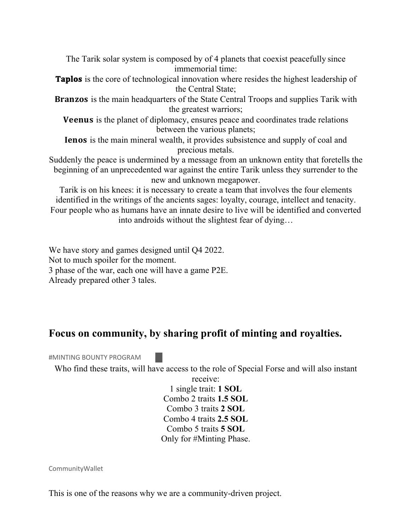The Tarik solar system is composed by of 4 planets that coexist peacefully since immemorial time:

**Taplos** is the core of technological innovation where resides the highest leadership of the Central State;

**Branzos** is the main headquarters of the State Central Troops and supplies Tarik with the greatest warriors;

**Veenus** is the planet of diplomacy, ensures peace and coordinates trade relations between the various planets;

**Ienos** is the main mineral wealth, it provides subsistence and supply of coal and precious metals.

Suddenly the peace is undermined by a message from an unknown entity that foretells the beginning of an unprecedented war against the entire Tarik unless they surrender to the new and unknown megapower.

Tarik is on his knees: it is necessary to create a team that involves the four elements identified in the writings of the ancients sages: loyalty, courage, intellect and tenacity. Four people who as humans have an innate desire to live will be identified and converted into androids without the slightest fear of dying…

We have story and games designed until Q4 2022. Not to much spoiler for the moment. 3 phase of the war, each one will have a game P2E. Already prepared other 3 tales.

#### **Focus on community, by sharing profit of minting and royalties.**

#MINTING BOUNTY PROGRAM

Who find these traits, will have access to the role of Special Forse and will also instant

receive: 1 single trait: **1 SOL** Combo 2 traits **1.5 SOL** Combo 3 traits **2 SOL** Combo 4 traits **2.5 SOL** Combo 5 traits **5 SOL** Only for #Minting Phase.

CommunityWallet

This is one of the reasons why we are a community-driven project.